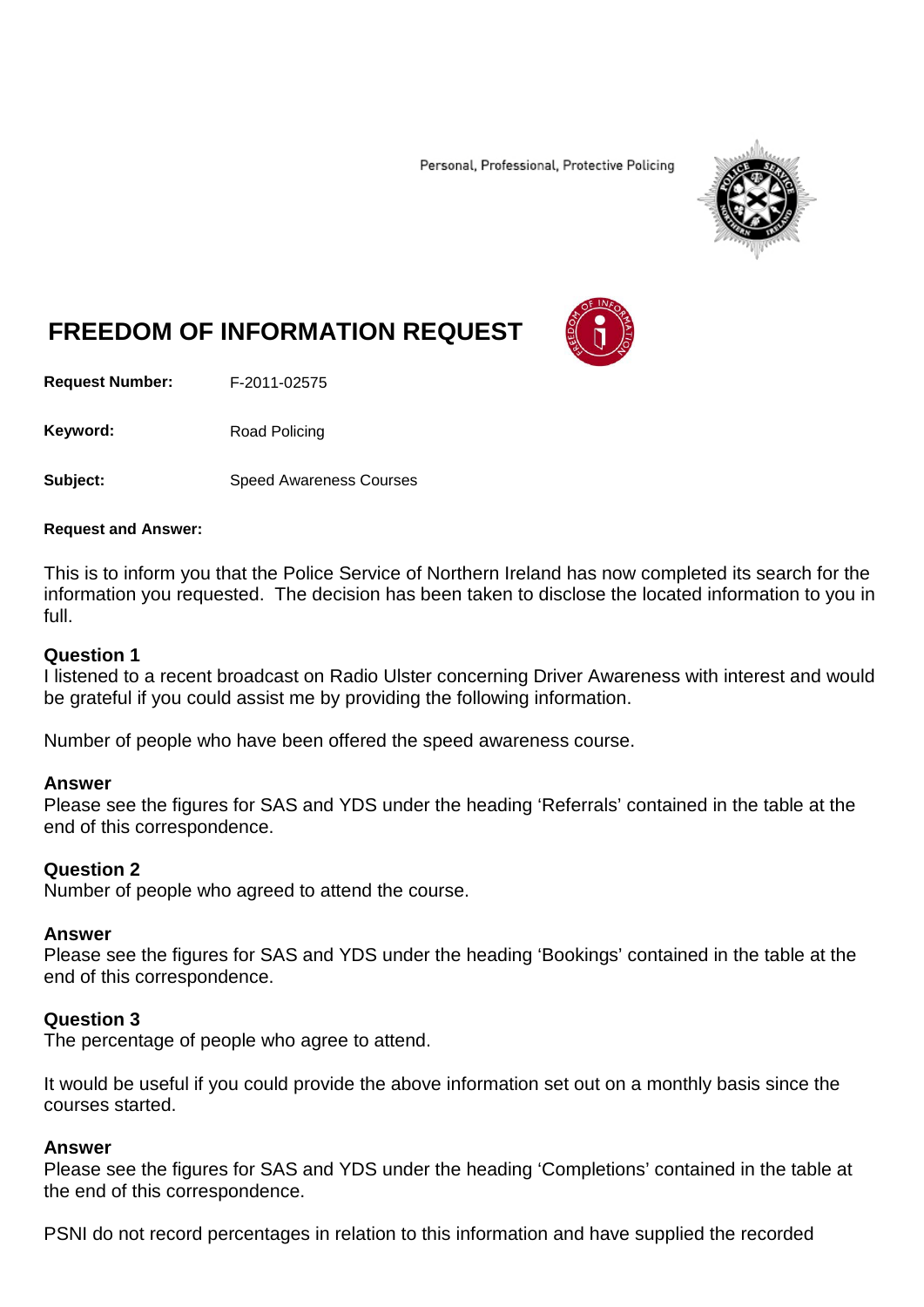Personal, Professional, Protective Policing



# **FREEDOM OF INFORMATION REQUEST**

**Request Number:** F-2011-02575

Keyword: Road Policing

**Subject:** Speed Awareness Courses

### **Request and Answer:**

This is to inform you that the Police Service of Northern Ireland has now completed its search for the information you requested. The decision has been taken to disclose the located information to you in full.

## **Question 1**

I listened to a recent broadcast on Radio Ulster concerning Driver Awareness with interest and would be grateful if you could assist me by providing the following information.

Number of people who have been offered the speed awareness course.

## **Answer**

Please see the figures for SAS and YDS under the heading 'Referrals' contained in the table at the end of this correspondence.

## **Question 2**

Number of people who agreed to attend the course.

## **Answer**

Please see the figures for SAS and YDS under the heading 'Bookings' contained in the table at the end of this correspondence.

## **Question 3**

The percentage of people who agree to attend.

It would be useful if you could provide the above information set out on a monthly basis since the courses started.

## **Answer**

Please see the figures for SAS and YDS under the heading 'Completions' contained in the table at the end of this correspondence.

PSNI do not record percentages in relation to this information and have supplied the recorded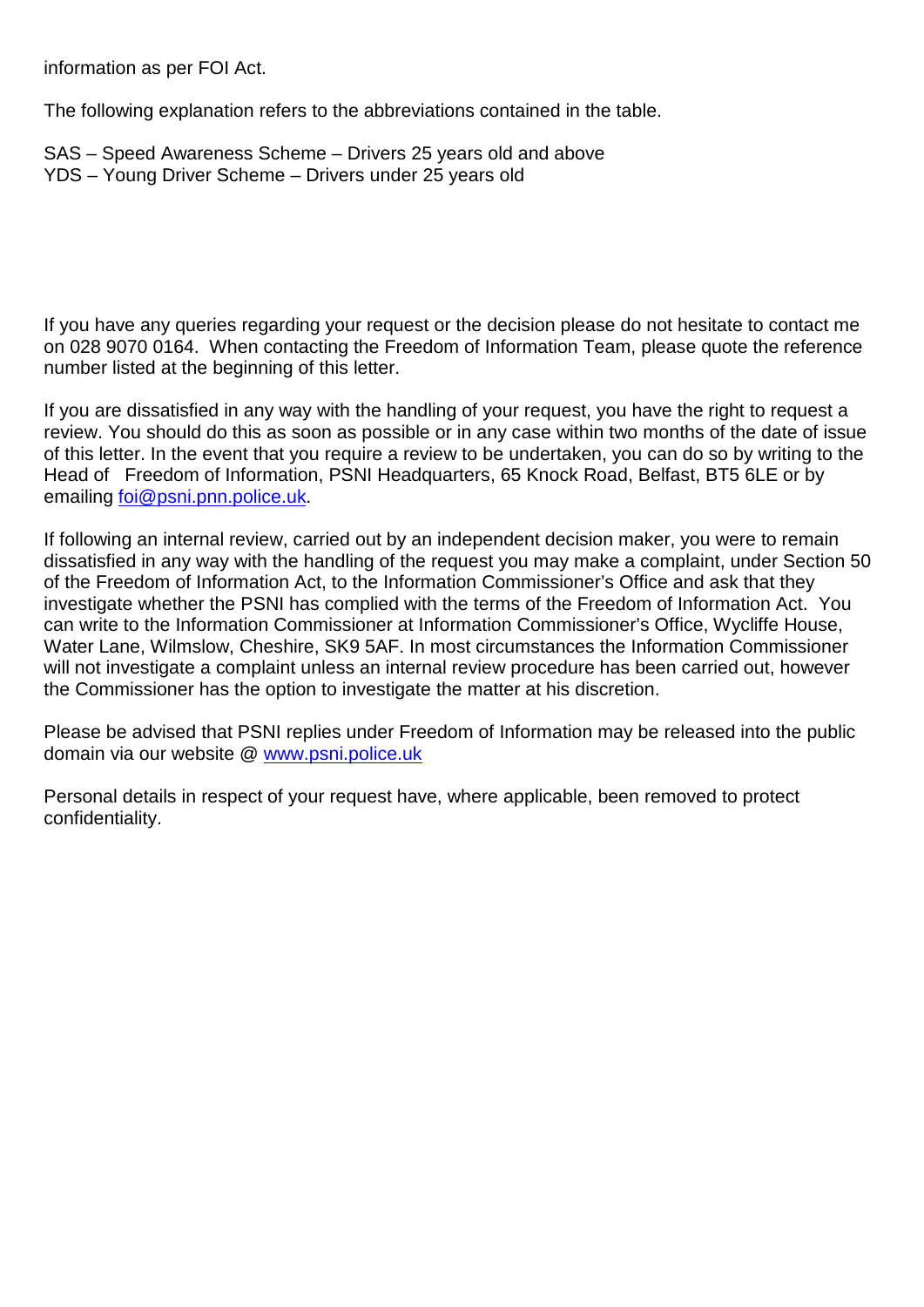information as per FOI Act.

The following explanation refers to the abbreviations contained in the table.

SAS – Speed Awareness Scheme – Drivers 25 years old and above YDS – Young Driver Scheme – Drivers under 25 years old

If you have any queries regarding your request or the decision please do not hesitate to contact me on 028 9070 0164. When contacting the Freedom of Information Team, please quote the reference number listed at the beginning of this letter.

If you are dissatisfied in any way with the handling of your request, you have the right to request a review. You should do this as soon as possible or in any case within two months of the date of issue of this letter. In the event that you require a review to be undertaken, you can do so by writing to the Head of Freedom of Information, PSNI Headquarters, 65 Knock Road, Belfast, BT5 6LE or by emailing [foi@psni.pnn.police.uk.](mailto:foi@psni.pnn.police.uk)

If following an internal review, carried out by an independent decision maker, you were to remain dissatisfied in any way with the handling of the request you may make a complaint, under Section 50 of the Freedom of Information Act, to the Information Commissioner's Office and ask that they investigate whether the PSNI has complied with the terms of the Freedom of Information Act. You can write to the Information Commissioner at Information Commissioner's Office, Wycliffe House, Water Lane, Wilmslow, Cheshire, SK9 5AF. In most circumstances the Information Commissioner will not investigate a complaint unless an internal review procedure has been carried out, however the Commissioner has the option to investigate the matter at his discretion.

Please be advised that PSNI replies under Freedom of Information may be released into the public domain via our website @ [www.psni.police.uk](http://www.psni.police.uk/)

Personal details in respect of your request have, where applicable, been removed to protect confidentiality.